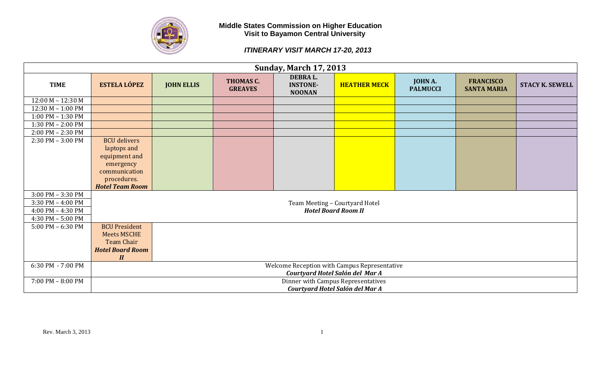

| <b>Sunday, March 17, 2013</b> |                                       |                   |                             |                                              |                                              |                            |                                        |                        |  |  |
|-------------------------------|---------------------------------------|-------------------|-----------------------------|----------------------------------------------|----------------------------------------------|----------------------------|----------------------------------------|------------------------|--|--|
| <b>TIME</b>                   | <b>ESTELA LÓPEZ</b>                   | <b>JOHN ELLIS</b> | THOMAS C.<br><b>GREAVES</b> | DEBRA L.<br><b>INSTONE-</b><br><b>NOONAN</b> | <b>HEATHER MECK</b>                          | JOHN A.<br><b>PALMUCCI</b> | <b>FRANCISCO</b><br><b>SANTA MARIA</b> | <b>STACY K. SEWELL</b> |  |  |
| $12:00 M - 12:30 M$           |                                       |                   |                             |                                              |                                              |                            |                                        |                        |  |  |
| $12:30 M - 1:00 PM$           |                                       |                   |                             |                                              |                                              |                            |                                        |                        |  |  |
| 1:00 PM - 1:30 PM             |                                       |                   |                             |                                              |                                              |                            |                                        |                        |  |  |
| 1:30 PM - 2:00 PM             |                                       |                   |                             |                                              |                                              |                            |                                        |                        |  |  |
| 2:00 PM - 2:30 PM             |                                       |                   |                             |                                              |                                              |                            |                                        |                        |  |  |
| 2:30 PM - 3:00 PM             | <b>BCU</b> delivers                   |                   |                             |                                              |                                              |                            |                                        |                        |  |  |
|                               | laptops and                           |                   |                             |                                              |                                              |                            |                                        |                        |  |  |
|                               | equipment and                         |                   |                             |                                              |                                              |                            |                                        |                        |  |  |
|                               | emergency                             |                   |                             |                                              |                                              |                            |                                        |                        |  |  |
|                               | communication                         |                   |                             |                                              |                                              |                            |                                        |                        |  |  |
|                               | procedures.<br><b>Hotel Team Room</b> |                   |                             |                                              |                                              |                            |                                        |                        |  |  |
| $3:00$ PM $-3:30$ PM          |                                       |                   |                             |                                              |                                              |                            |                                        |                        |  |  |
| $3:30$ PM $-$ 4:00 PM         |                                       |                   |                             |                                              | Team Meeting - Courtyard Hotel               |                            |                                        |                        |  |  |
| 4:00 PM - 4:30 PM             |                                       |                   |                             |                                              | <b>Hotel Board Room II</b>                   |                            |                                        |                        |  |  |
| 4:30 PM - 5:00 PM             |                                       |                   |                             |                                              |                                              |                            |                                        |                        |  |  |
| $5:00$ PM $-6:30$ PM          | <b>BCU President</b>                  |                   |                             |                                              |                                              |                            |                                        |                        |  |  |
|                               | <b>Meets MSCHE</b>                    |                   |                             |                                              |                                              |                            |                                        |                        |  |  |
|                               | <b>Team Chair</b>                     |                   |                             |                                              |                                              |                            |                                        |                        |  |  |
|                               | <b>Hotel Board Room</b>               |                   |                             |                                              |                                              |                            |                                        |                        |  |  |
|                               | $\boldsymbol{\mathit{II}}$            |                   |                             |                                              |                                              |                            |                                        |                        |  |  |
| 6:30 PM - 7:00 PM             |                                       |                   |                             |                                              | Welcome Reception with Campus Representative |                            |                                        |                        |  |  |
|                               |                                       |                   |                             |                                              | Courtyard Hotel Salón del Mar A              |                            |                                        |                        |  |  |
| 7:00 PM - 8:00 PM             |                                       |                   |                             |                                              | Dinner with Campus Representatives           |                            |                                        |                        |  |  |
|                               |                                       |                   |                             |                                              | Courtyard Hotel Salón del Mar A              |                            |                                        |                        |  |  |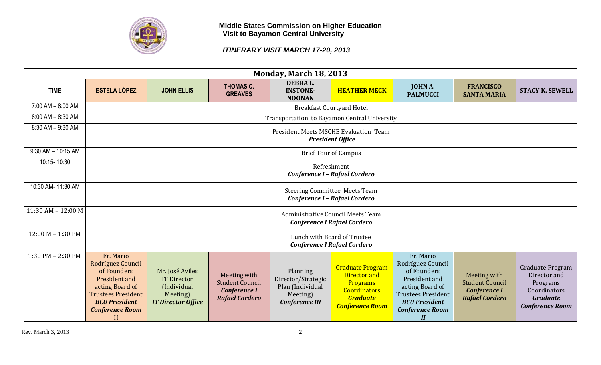

## *ITINERARY VISIT MARCH 17-20, 2013*

| <b>Monday, March 18, 2013</b> |                                                                                                                                                                             |                                                                                               |                                                                                        |                                                                                         |                                                                                                                         |                                                                                                                                                                                                |                                                                                        |                                                                                                           |  |  |
|-------------------------------|-----------------------------------------------------------------------------------------------------------------------------------------------------------------------------|-----------------------------------------------------------------------------------------------|----------------------------------------------------------------------------------------|-----------------------------------------------------------------------------------------|-------------------------------------------------------------------------------------------------------------------------|------------------------------------------------------------------------------------------------------------------------------------------------------------------------------------------------|----------------------------------------------------------------------------------------|-----------------------------------------------------------------------------------------------------------|--|--|
| <b>TIME</b>                   | <b>ESTELA LÓPEZ</b>                                                                                                                                                         | <b>JOHN ELLIS</b>                                                                             | <b>THOMAS C.</b><br><b>GREAVES</b>                                                     | DEBRA L.<br><b>INSTONE-</b><br><b>NOONAN</b>                                            | <b>HEATHER MECK</b>                                                                                                     | <b>JOHN A.</b><br><b>PALMUCCI</b>                                                                                                                                                              | <b>FRANCISCO</b><br><b>SANTA MARIA</b>                                                 | <b>STACY K. SEWELL</b>                                                                                    |  |  |
| $7:00$ AM $- 8:00$ AM         |                                                                                                                                                                             | <b>Breakfast Courtyard Hotel</b>                                                              |                                                                                        |                                                                                         |                                                                                                                         |                                                                                                                                                                                                |                                                                                        |                                                                                                           |  |  |
| 8:00 AM - 8:30 AM             |                                                                                                                                                                             | Transportation to Bayamon Central University                                                  |                                                                                        |                                                                                         |                                                                                                                         |                                                                                                                                                                                                |                                                                                        |                                                                                                           |  |  |
| 8:30 AM - 9:30 AM             |                                                                                                                                                                             | <b>President Meets MSCHE Evaluation Team</b><br><b>President Office</b>                       |                                                                                        |                                                                                         |                                                                                                                         |                                                                                                                                                                                                |                                                                                        |                                                                                                           |  |  |
| $9:30$ AM $- 10:15$ AM        |                                                                                                                                                                             |                                                                                               |                                                                                        |                                                                                         | <b>Brief Tour of Campus</b>                                                                                             |                                                                                                                                                                                                |                                                                                        |                                                                                                           |  |  |
| 10:15-10:30                   | Refreshment<br><b>Conference I - Rafael Cordero</b>                                                                                                                         |                                                                                               |                                                                                        |                                                                                         |                                                                                                                         |                                                                                                                                                                                                |                                                                                        |                                                                                                           |  |  |
| 10:30 AM- 11:30 AM            | <b>Steering Committee Meets Team</b><br><b>Conference I - Rafael Cordero</b>                                                                                                |                                                                                               |                                                                                        |                                                                                         |                                                                                                                         |                                                                                                                                                                                                |                                                                                        |                                                                                                           |  |  |
| $11:30$ AM - $12:00$ M        |                                                                                                                                                                             |                                                                                               |                                                                                        |                                                                                         | Administrative Council Meets Team<br><b>Conference I Rafael Cordero</b>                                                 |                                                                                                                                                                                                |                                                                                        |                                                                                                           |  |  |
| 12:00 M - 1:30 PM             |                                                                                                                                                                             |                                                                                               |                                                                                        |                                                                                         | Lunch with Board of Trustee<br><b>Conference I Rafael Cordero</b>                                                       |                                                                                                                                                                                                |                                                                                        |                                                                                                           |  |  |
| 1:30 PM - 2:30 PM             | Fr. Mario<br>Rodríguez Council<br>of Founders<br>President and<br>acting Board of<br><b>Trustees President</b><br><b>BCU President</b><br><b>Conference Room</b><br>$\prod$ | Mr. José Aviles<br><b>IT Director</b><br>(Individual<br>Meeting)<br><b>IT Director Office</b> | Meeting with<br><b>Student Council</b><br><b>Conference I</b><br><b>Rafael Cordero</b> | Planning<br>Director/Strategic<br>Plan (Individual<br>Meeting)<br><b>Conference III</b> | <b>Graduate Program</b><br>Director and<br>Programs<br><b>Coordinators</b><br><b>Graduate</b><br><b>Conference Room</b> | Fr. Mario<br>Rodríguez Council<br>of Founders<br>President and<br>acting Board of<br><b>Trustees President</b><br><b>BCU President</b><br><b>Conference Room</b><br>$\boldsymbol{\mathit{II}}$ | Meeting with<br><b>Student Council</b><br><b>Conference I</b><br><b>Rafael Cordero</b> | Graduate Program<br>Director and<br>Programs<br>Coordinators<br><b>Graduate</b><br><b>Conference Room</b> |  |  |

Rev. March 3, 2013 2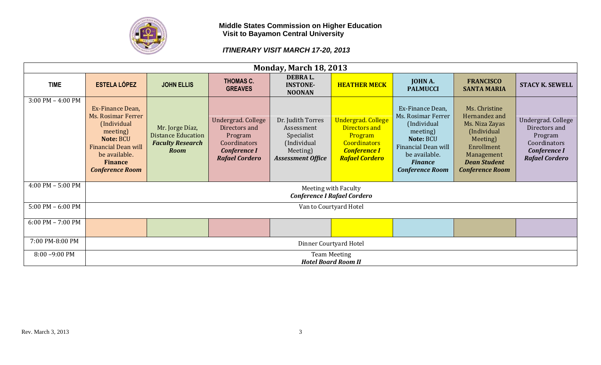

| <b>Monday, March 18, 2013</b> |                                                                                                                                                                                  |                                                                                        |                                                                                                                |                                                                                                      |                                                                                                                              |                                                                                                                                                                    |                                                                                                                                                          |                                                                                                                |  |  |
|-------------------------------|----------------------------------------------------------------------------------------------------------------------------------------------------------------------------------|----------------------------------------------------------------------------------------|----------------------------------------------------------------------------------------------------------------|------------------------------------------------------------------------------------------------------|------------------------------------------------------------------------------------------------------------------------------|--------------------------------------------------------------------------------------------------------------------------------------------------------------------|----------------------------------------------------------------------------------------------------------------------------------------------------------|----------------------------------------------------------------------------------------------------------------|--|--|
| <b>TIME</b>                   | <b>ESTELA LÓPEZ</b>                                                                                                                                                              | <b>JOHN ELLIS</b>                                                                      | <b>THOMAS C.</b><br><b>GREAVES</b>                                                                             | DEBRA L.<br><b>INSTONE-</b><br><b>NOONAN</b>                                                         | <b>HEATHER MECK</b>                                                                                                          | <b>JOHN A.</b><br><b>PALMUCCI</b>                                                                                                                                  | <b>FRANCISCO</b><br><b>SANTA MARIA</b>                                                                                                                   | <b>STACY K. SEWELL</b>                                                                                         |  |  |
| $3:00$ PM $-$ 4:00 PM         | Ex-Finance Dean,<br><b>Ms. Rosimar Ferrer</b><br>(Individual<br>meeting)<br>Note: BCU<br><b>Financial Dean will</b><br>be available.<br><b>Finance</b><br><b>Conference Room</b> | Mr. Jorge Díaz,<br><b>Distance Education</b><br><b>Faculty Research</b><br><b>Room</b> | Undergrad. College<br>Directors and<br>Program<br>Coordinators<br><b>Conference I</b><br><b>Rafael Cordero</b> | Dr. Judith Torres<br>Assessment<br>Specialist<br>(Individual<br>Meeting)<br><b>Assessment Office</b> | <b>Undergrad. College</b><br>Directors and<br>Program<br><b>Coordinators</b><br><b>Conference I</b><br><b>Rafael Cordero</b> | Ex-Finance Dean,<br>Ms. Rosimar Ferrer<br>(Individual<br>meeting)<br>Note: BCU<br>Financial Dean will<br>be available.<br><b>Finance</b><br><b>Conference Room</b> | Ms. Christine<br>Hernandez and<br>Ms. Niza Zayas<br>(Individual<br>Meeting)<br>Enrollment<br>Management<br><b>Dean Student</b><br><b>Conference Room</b> | Undergrad. College<br>Directors and<br>Program<br>Coordinators<br><b>Conference I</b><br><b>Rafael Cordero</b> |  |  |
| $4:00$ PM $-5:00$ PM          |                                                                                                                                                                                  |                                                                                        |                                                                                                                |                                                                                                      | Meeting with Faculty<br><b>Conference I Rafael Cordero</b>                                                                   |                                                                                                                                                                    |                                                                                                                                                          |                                                                                                                |  |  |
| $5:00$ PM $-6:00$ PM          |                                                                                                                                                                                  |                                                                                        |                                                                                                                |                                                                                                      | Van to Courtyard Hotel                                                                                                       |                                                                                                                                                                    |                                                                                                                                                          |                                                                                                                |  |  |
| $6:00$ PM $- 7:00$ PM         |                                                                                                                                                                                  |                                                                                        |                                                                                                                |                                                                                                      |                                                                                                                              |                                                                                                                                                                    |                                                                                                                                                          |                                                                                                                |  |  |
| 7:00 PM-8:00 PM               |                                                                                                                                                                                  | Dinner Courtyard Hotel                                                                 |                                                                                                                |                                                                                                      |                                                                                                                              |                                                                                                                                                                    |                                                                                                                                                          |                                                                                                                |  |  |
| $8:00 - 9:00$ PM              |                                                                                                                                                                                  |                                                                                        |                                                                                                                |                                                                                                      | <b>Team Meeting</b><br><b>Hotel Board Room II</b>                                                                            |                                                                                                                                                                    |                                                                                                                                                          |                                                                                                                |  |  |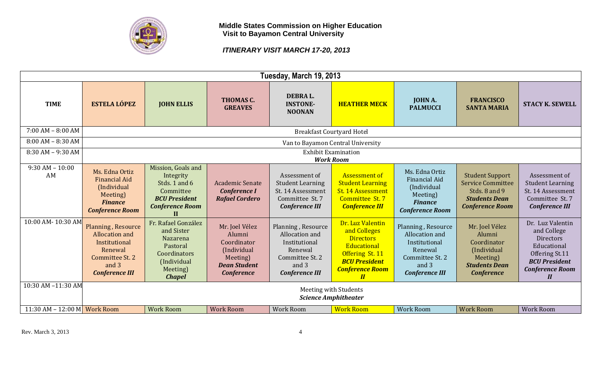

|                              | Tuesday, March 19, 2013                                                                                                             |                                                                                                                              |                                                                                                                |                                                                                                                       |                                                                                                                                                                        |                                                                                                                       |                                                                                                                       |                                                                                                                                           |  |  |  |
|------------------------------|-------------------------------------------------------------------------------------------------------------------------------------|------------------------------------------------------------------------------------------------------------------------------|----------------------------------------------------------------------------------------------------------------|-----------------------------------------------------------------------------------------------------------------------|------------------------------------------------------------------------------------------------------------------------------------------------------------------------|-----------------------------------------------------------------------------------------------------------------------|-----------------------------------------------------------------------------------------------------------------------|-------------------------------------------------------------------------------------------------------------------------------------------|--|--|--|
| <b>TIME</b>                  | <b>ESTELA LÓPEZ</b>                                                                                                                 | <b>JOHN ELLIS</b>                                                                                                            | <b>THOMAS C.</b><br><b>GREAVES</b>                                                                             | <b>DEBRAL.</b><br><b>INSTONE-</b><br><b>NOONAN</b>                                                                    | <b>HEATHER MECK</b>                                                                                                                                                    | <b>JOHN A.</b><br><b>PALMUCCI</b>                                                                                     | <b>FRANCISCO</b><br><b>SANTA MARIA</b>                                                                                | <b>STACY K. SEWELL</b>                                                                                                                    |  |  |  |
| $7:00$ AM $- 8:00$ AM        |                                                                                                                                     |                                                                                                                              |                                                                                                                |                                                                                                                       | <b>Breakfast Courtyard Hotel</b>                                                                                                                                       |                                                                                                                       |                                                                                                                       |                                                                                                                                           |  |  |  |
| $8:00$ AM $- 8:30$ AM        |                                                                                                                                     |                                                                                                                              |                                                                                                                |                                                                                                                       | Van to Bayamon Central University                                                                                                                                      |                                                                                                                       |                                                                                                                       |                                                                                                                                           |  |  |  |
| 8:30 AM - 9:30 AM            |                                                                                                                                     |                                                                                                                              |                                                                                                                |                                                                                                                       | <b>Exhibit Examination</b><br><b>Work Room</b>                                                                                                                         |                                                                                                                       |                                                                                                                       |                                                                                                                                           |  |  |  |
| $9:30$ AM $-10:00$<br>AM     | Ms. Edna Ortiz<br><b>Financial Aid</b><br>(Individual<br>Meeting)<br><b>Finance</b><br><b>Conference Room</b>                       | Mission, Goals and<br>Integrity<br>Stds. 1 and 6<br>Committee<br><b>BCU President</b><br><b>Conference Room</b><br>$\bf{II}$ | Academic Senate<br><b>Conference I</b><br><b>Rafael Cordero</b>                                                | Assessment of<br><b>Student Learning</b><br>St. 14 Assessment<br>Committee St. 7<br><b>Conference III</b>             | <b>Assessment of</b><br><b>Student Learning</b><br>St. 14 Assessment<br>Committee St. 7<br><b>Conference III</b>                                                       | Ms. Edna Ortiz<br><b>Financial Aid</b><br>(Individual<br>Meeting)<br><b>Finance</b><br><b>Conference Room</b>         | <b>Student Support</b><br><b>Service Committee</b><br>Stds, 8 and 9<br><b>Students Dean</b><br><b>Conference Room</b> | Assessment of<br><b>Student Learning</b><br>St. 14 Assessment<br>Committee St. 7<br><b>Conference III</b>                                 |  |  |  |
| 10:00 AM-10:30 AM            | <b>Planning, Resource</b><br><b>Allocation and</b><br>Institutional<br>Renewal<br>Committee St. 2<br>and 3<br><b>Conference III</b> | Fr. Rafael González<br>and Sister<br>Nazarena<br>Pastoral<br>Coordinators<br>(Individual<br>Meeting)<br><b>Chapel</b>        | Mr. Joel Vélez<br>Alumni<br>Coordinator<br>(Individual<br>Meeting)<br><b>Dean Student</b><br><b>Conference</b> | Planning, Resource<br>Allocation and<br>Institutional<br>Renewal<br>Committee St. 2<br>and 3<br><b>Conference III</b> | Dr. Luz Valentin<br>and Colleges<br><b>Directors</b><br>Educational<br>Offering St. 11<br><b>BCU President</b><br><b>Conference Room</b><br>$\boldsymbol{\mathit{II}}$ | Planning, Resource<br>Allocation and<br>Institutional<br>Renewal<br>Committee St. 2<br>and 3<br><b>Conference III</b> | Mr. Joel Vélez<br>Alumni<br>Coordinator<br>(Individual<br>Meeting)<br><b>Students Dean</b><br><b>Conference</b>       | Dr. Luz Valentin<br>and College<br>Directors<br>Educational<br>Offering St.11<br><b>BCU President</b><br><b>Conference Room</b><br>$I\!I$ |  |  |  |
| 10:30 AM -11:30 AM           |                                                                                                                                     | Meeting with Students<br><b>Science Amphitheater</b>                                                                         |                                                                                                                |                                                                                                                       |                                                                                                                                                                        |                                                                                                                       |                                                                                                                       |                                                                                                                                           |  |  |  |
| 11:30 AM - 12:00 M Work Room |                                                                                                                                     | <b>Work Room</b>                                                                                                             | <b>Work Room</b>                                                                                               | <b>Work Room</b>                                                                                                      | <b>Work Room</b>                                                                                                                                                       | <b>Work Room</b>                                                                                                      | <b>Work Room</b>                                                                                                      | <b>Work Room</b>                                                                                                                          |  |  |  |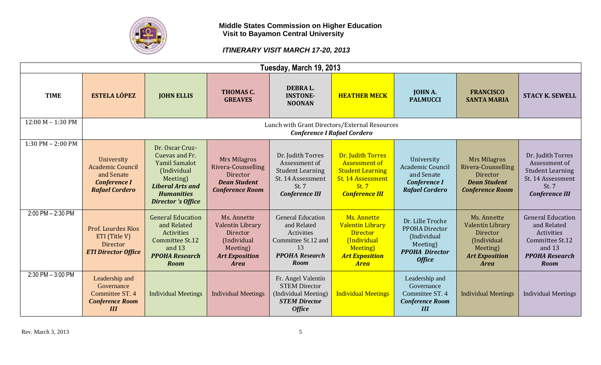

|                       | Tuesday, March 19, 2013                                                                             |                                                                                                                                                                   |                                                                                                                |                                                                                                                      |                                                                                                                                    |                                                                                                         |                                                                                                                |                                                                                                                            |  |  |  |
|-----------------------|-----------------------------------------------------------------------------------------------------|-------------------------------------------------------------------------------------------------------------------------------------------------------------------|----------------------------------------------------------------------------------------------------------------|----------------------------------------------------------------------------------------------------------------------|------------------------------------------------------------------------------------------------------------------------------------|---------------------------------------------------------------------------------------------------------|----------------------------------------------------------------------------------------------------------------|----------------------------------------------------------------------------------------------------------------------------|--|--|--|
| <b>TIME</b>           | <b>ESTELA LÓPEZ</b>                                                                                 | <b>JOHN ELLIS</b>                                                                                                                                                 | THOMAS C.<br><b>GREAVES</b>                                                                                    | DEBRA L.<br><b>INSTONE-</b><br><b>NOONAN</b>                                                                         | <b>HEATHER MECK</b>                                                                                                                | <b>JOHN A.</b><br><b>PALMUCCI</b>                                                                       | <b>FRANCISCO</b><br><b>SANTA MARIA</b>                                                                         | <b>STACY K. SEWELL</b>                                                                                                     |  |  |  |
| $12:00 M - 1:30 PM$   |                                                                                                     |                                                                                                                                                                   |                                                                                                                | Lunch with Grant Directors/External Resources                                                                        | <b>Conference I Rafael Cordero</b>                                                                                                 |                                                                                                         |                                                                                                                |                                                                                                                            |  |  |  |
| $1:30$ PM $- 2:00$ PM | University<br><b>Academic Council</b><br>and Senate<br><b>Conference I</b><br><b>Rafael Cordero</b> | Dr. Oscar Cruz-<br>Cuevas and Fr.<br><b>Yamil Samalot</b><br>(Individual<br>Meeting)<br><b>Liberal Arts and</b><br><b>Humanities</b><br><b>Director</b> 's Office | <b>Mrs Milagros</b><br>Rivera-Counselling<br><b>Director</b><br><b>Dean Student</b><br><b>Conference Room</b>  | Dr. Judith Torres<br>Assessment of<br><b>Student Learning</b><br>St. 14 Assessment<br>St. 7<br><b>Conference III</b> | Dr. Judith Torres<br><b>Assessment of</b><br><b>Student Learning</b><br>St. 14 Assessment<br><b>St. 7</b><br><b>Conference III</b> | University<br>Academic Council<br>and Senate<br><b>Conference I</b><br><b>Rafael Cordero</b>            | <b>Mrs Milagros</b><br>Rivera-Counselling<br>Director<br><b>Dean Student</b><br><b>Conference Room</b>         | Dr. Judith Torres<br>Assessment of<br><b>Student Learning</b><br>St. 14 Assessment<br>St. 7<br><b>Conference III</b>       |  |  |  |
| 2:00 PM - 2:30 PM     | Prof. Lourdes Ríos<br>ETI (Title V)<br>Director<br><b>ETI Director Office</b>                       | <b>General Education</b><br>and Related<br>Activities<br>Committee St.12<br>and 13<br><b>PPOHA Research</b><br><b>Room</b>                                        | Ms. Annette<br>Valentín Library<br>Director<br>(Individual<br>Meeting)<br><b>Art Exposition</b><br><b>Area</b> | <b>General Education</b><br>and Related<br>Activities<br>Committee St.12 and<br>13<br><b>PPOHA Research</b><br>Room  | Ms. Annette<br><b>Valentin Library</b><br><b>Director</b><br>(Individual<br>Meeting)<br><b>Art Exposition</b><br><b>Area</b>       | Dr. Lille Troche<br>PPOHA Director<br>(Individual<br>Meeting)<br><b>PPOHA Director</b><br><b>Office</b> | Ms. Annette<br>Valentín Library<br>Director<br>(Individual<br>Meeting)<br><b>Art Exposition</b><br><b>Area</b> | <b>General Education</b><br>and Related<br>Activities<br>Committee St.12<br>and 13<br><b>PPOHA Research</b><br><b>Room</b> |  |  |  |
| 2:30 PM - 3:00 PM     | Leadership and<br>Governance<br>Committee ST. 4<br><b>Conference Room</b><br>III                    | <b>Individual Meetings</b>                                                                                                                                        | <b>Individual Meetings</b>                                                                                     | Fr. Angel Valentín<br><b>STEM Director</b><br>(Individual Meeting)<br><b>STEM Director</b><br><b>Office</b>          | <b>Individual Meetings</b>                                                                                                         | Leadership and<br>Governance<br>Committee ST. 4<br><b>Conference Room</b><br>III                        | <b>Individual Meetings</b>                                                                                     | <b>Individual Meetings</b>                                                                                                 |  |  |  |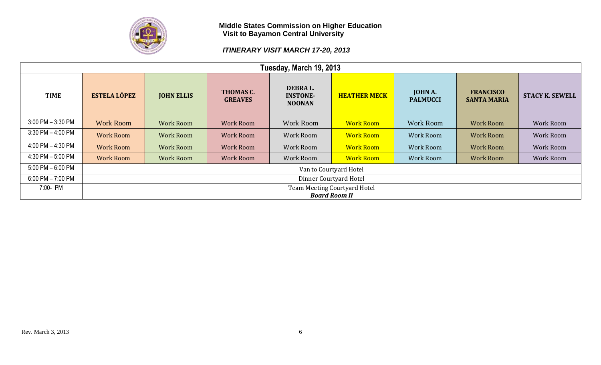

| Tuesday, March 19, 2013 |                        |                        |                             |                                                    |                      |                                   |                                        |                        |  |  |
|-------------------------|------------------------|------------------------|-----------------------------|----------------------------------------------------|----------------------|-----------------------------------|----------------------------------------|------------------------|--|--|
| <b>TIME</b>             | <b>ESTELA LÓPEZ</b>    | <b>JOHN ELLIS</b>      | THOMAS C.<br><b>GREAVES</b> | <b>DEBRAL.</b><br><b>INSTONE-</b><br><b>NOONAN</b> | <b>HEATHER MECK</b>  | <b>JOHN A.</b><br><b>PALMUCCI</b> | <b>FRANCISCO</b><br><b>SANTA MARIA</b> | <b>STACY K. SEWELL</b> |  |  |
| $3:00$ PM $-3:30$ PM    | <b>Work Room</b>       | <b>Work Room</b>       | <b>Work Room</b>            | <b>Work Room</b>                                   | <b>Work Room</b>     | <b>Work Room</b>                  | <b>Work Room</b>                       | <b>Work Room</b>       |  |  |
| $3:30$ PM $-4:00$ PM    | <b>Work Room</b>       | <b>Work Room</b>       | <b>Work Room</b>            | Work Room                                          | <b>Work Room</b>     | <b>Work Room</b>                  | <b>Work Room</b>                       | <b>Work Room</b>       |  |  |
| 4:00 PM $-$ 4:30 PM     | <b>Work Room</b>       | <b>Work Room</b>       | <b>Work Room</b>            | Work Room                                          | <b>Work Room</b>     | <b>Work Room</b>                  | <b>Work Room</b>                       | <b>Work Room</b>       |  |  |
| 4:30 PM $-$ 5:00 PM     | <b>Work Room</b>       | <b>Work Room</b>       | <b>Work Room</b>            | Work Room                                          | <b>Work Room</b>     | <b>Work Room</b>                  | <b>Work Room</b>                       | <b>Work Room</b>       |  |  |
| $5:00$ PM $-6:00$ PM    | Van to Courtyard Hotel |                        |                             |                                                    |                      |                                   |                                        |                        |  |  |
| $6:00$ PM $- 7:00$ PM   |                        | Dinner Courtyard Hotel |                             |                                                    |                      |                                   |                                        |                        |  |  |
| 7:00- PM                |                        |                        |                             | Team Meeting Courtyard Hotel                       |                      |                                   |                                        |                        |  |  |
|                         |                        |                        |                             |                                                    | <b>Board Room II</b> |                                   |                                        |                        |  |  |